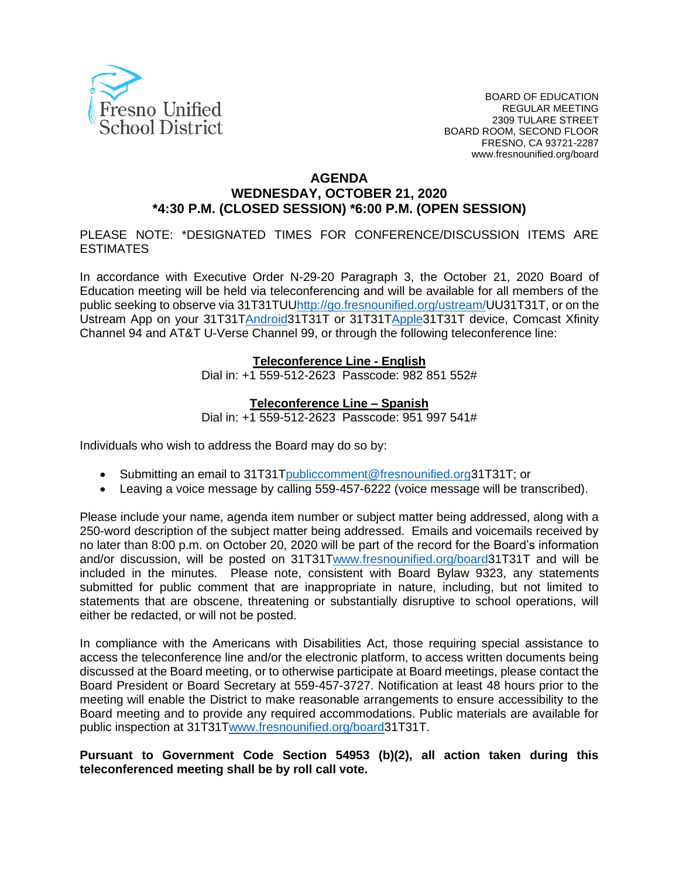

#### **AGENDA**

# **WEDNESDAY, OCTOBER 21, 2020 \*4:30 P.M. (CLOSED SESSION) \*6:00 P.M. (OPEN SESSION)**

PLEASE NOTE: \*DESIGNATED TIMES FOR CONFERENCE/DISCUSSION ITEMS ARE ESTIMATES

In accordance with Executive Order N-29-20 Paragraph 3, the October 21, 2020 Board of Education meeting will be held via teleconferencing and will be available for all members of the public seeking to observe via 31[T31TUUhttp://go.fresnounified.org/ustream/U](http://go.fresnounified.org/ustream/)U31T31T, or on the Ustream App on your 31[T31TAndroid3](https://play.google.com/store/apps/details?id=tv.ustream.ustream&hl=en_US)1T31T or 31[T31TApple3](https://itunes.apple.com/us/app/ustream/id301520250?mt=8)1T31T device, Comcast Xfinity Channel 94 and AT&T U-Verse Channel 99, or through the following teleconference line:

#### **Teleconference Line - English**

Dial in: +1 559-512-2623 Passcode: 982 851 552#

#### **Teleconference Line – Spanish**

Dial in: +1 559-512-2623 Passcode: 951 997 541#

Individuals who wish to address the Board may do so by:

- Submitting an email to 31[T31Tpubliccomment@fresnounified.org3](mailto:publiccomment@fresnounified.org)1T31T; or
- Leaving a voice message by calling 559-457-6222 (voice message will be transcribed).

Please include your name, agenda item number or subject matter being addressed, along with a 250-word description of the subject matter being addressed. Emails and voicemails received by no later than 8:00 p.m. on October 20, 2020 will be part of the record for the Board's information and/or discussion, will be posted on 31[T31Twww.fresnounified.org/board3](http://www.fresnounified.org/board)1T31T and will be included in the minutes. Please note, consistent with Board Bylaw 9323, any statements submitted for public comment that are inappropriate in nature, including, but not limited to statements that are obscene, threatening or substantially disruptive to school operations, will either be redacted, or will not be posted.

In compliance with the Americans with Disabilities Act, those requiring special assistance to access the teleconference line and/or the electronic platform, to access written documents being discussed at the Board meeting, or to otherwise participate at Board meetings, please contact the Board President or Board Secretary at 559-457-3727. Notification at least 48 hours prior to the meeting will enable the District to make reasonable arrangements to ensure accessibility to the Board meeting and to provide any required accommodations. Public materials are available for public inspection at 31[T31Twww.fresnounified.org/board3](http://www.fresnounified.org/board)1T31T.

#### **Pursuant to Government Code Section 54953 (b)(2), all action taken during this teleconferenced meeting shall be by roll call vote.**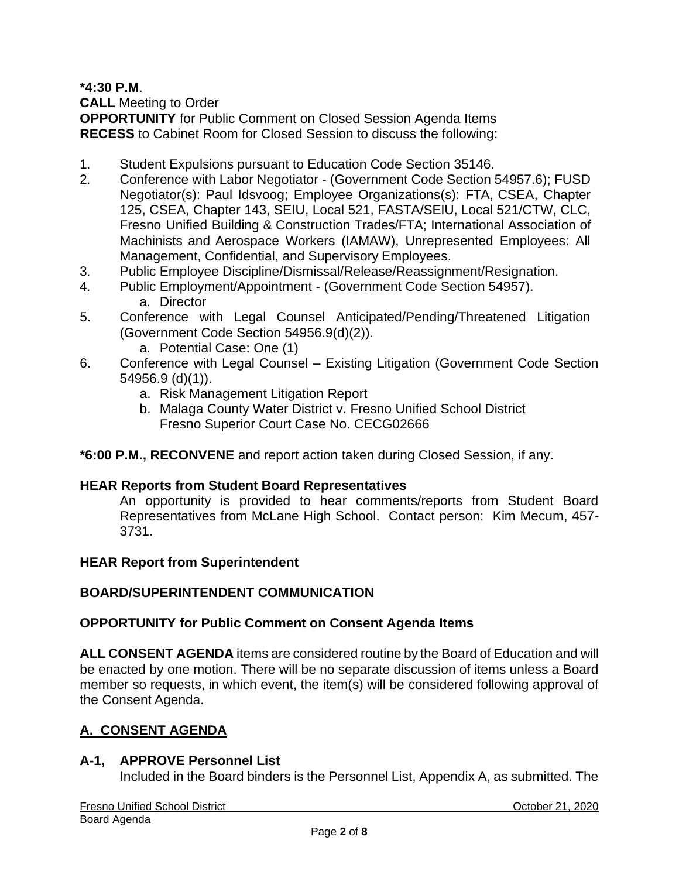**\*4:30 P.M**.

**CALL** Meeting to Order

**OPPORTUNITY** for Public Comment on Closed Session Agenda Items **RECESS** to Cabinet Room for Closed Session to discuss the following:

- 1. Student Expulsions pursuant to Education Code Section 35146.
- 2. Conference with Labor Negotiator (Government Code Section 54957.6); FUSD Negotiator(s): Paul Idsvoog; Employee Organizations(s): FTA, CSEA, Chapter 125, CSEA, Chapter 143, SEIU, Local 521, FASTA/SEIU, Local 521/CTW, CLC, Fresno Unified Building & Construction Trades/FTA; International Association of Machinists and Aerospace Workers (IAMAW), Unrepresented Employees: All Management, Confidential, and Supervisory Employees.
- 3. Public Employee Discipline/Dismissal/Release/Reassignment/Resignation.
- 4. Public Employment/Appointment (Government Code Section 54957). a. Director
- 5. Conference with Legal Counsel Anticipated/Pending/Threatened Litigation (Government Code Section 54956.9(d)(2)).
	- a. Potential Case: One (1)
- 6. Conference with Legal Counsel Existing Litigation (Government Code Section 54956.9 (d)(1)).
	- a. Risk Management Litigation Report
	- b. Malaga County Water District v. Fresno Unified School District Fresno Superior Court Case No. CECG02666

## **\*6:00 P.M., RECONVENE** and report action taken during Closed Session, if any.

#### **HEAR Reports from Student Board Representatives**

An opportunity is provided to hear comments/reports from Student Board Representatives from McLane High School. Contact person: Kim Mecum, 457- 3731.

#### **HEAR Report from Superintendent**

## **BOARD/SUPERINTENDENT COMMUNICATION**

#### **OPPORTUNITY for Public Comment on Consent Agenda Items**

**ALL CONSENT AGENDA** items are considered routine by the Board of Education and will be enacted by one motion. There will be no separate discussion of items unless a Board member so requests, in which event, the item(s) will be considered following approval of the Consent Agenda.

## **A. CONSENT AGENDA**

#### **A-1, APPROVE Personnel List**

Included in the Board binders is the Personnel List, Appendix A, as submitted. The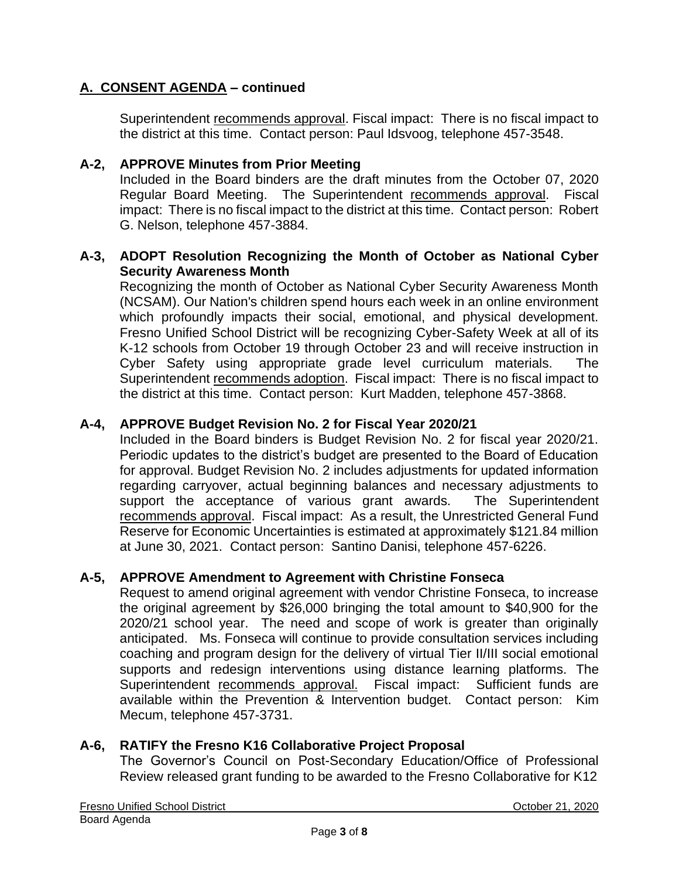Superintendent recommends approval. Fiscal impact: There is no fiscal impact to the district at this time. Contact person: Paul Idsvoog, telephone 457-3548.

### **A-2, APPROVE Minutes from Prior Meeting**

Included in the Board binders are the draft minutes from the October 07, 2020 Regular Board Meeting. The Superintendent recommends approval. Fiscal impact: There is no fiscal impact to the district at this time. Contact person: Robert G. Nelson, telephone 457-3884.

### **A-3, ADOPT Resolution Recognizing the Month of October as National Cyber Security Awareness Month**

Recognizing the month of October as National Cyber Security Awareness Month (NCSAM). Our Nation's children spend hours each week in an online environment which profoundly impacts their social, emotional, and physical development. Fresno Unified School District will be recognizing Cyber-Safety Week at all of its K-12 schools from October 19 through October 23 and will receive instruction in Cyber Safety using appropriate grade level curriculum materials. The Superintendent recommends adoption. Fiscal impact: There is no fiscal impact to the district at this time. Contact person: Kurt Madden, telephone 457-3868.

### **A-4, APPROVE Budget Revision No. 2 for Fiscal Year 2020/21**

Included in the Board binders is Budget Revision No. 2 for fiscal year 2020/21. Periodic updates to the district's budget are presented to the Board of Education for approval. Budget Revision No. 2 includes adjustments for updated information regarding carryover, actual beginning balances and necessary adjustments to support the acceptance of various grant awards. The Superintendent recommends approval. Fiscal impact: As a result, the Unrestricted General Fund Reserve for Economic Uncertainties is estimated at approximately \$121.84 million at June 30, 2021. Contact person: Santino Danisi, telephone 457-6226.

#### **A-5, APPROVE Amendment to Agreement with Christine Fonseca**

Request to amend original agreement with vendor Christine Fonseca, to increase the original agreement by \$26,000 bringing the total amount to \$40,900 for the 2020/21 school year. The need and scope of work is greater than originally anticipated. Ms. Fonseca will continue to provide consultation services including coaching and program design for the delivery of virtual Tier II/III social emotional supports and redesign interventions using distance learning platforms. The Superintendent recommends approval. Fiscal impact: Sufficient funds are available within the Prevention & Intervention budget. Contact person: Kim Mecum, telephone 457-3731.

#### **A-6, RATIFY the Fresno K16 Collaborative Project Proposal**

The Governor's Council on Post-Secondary Education/Office of Professional Review released grant funding to be awarded to the Fresno Collaborative for K12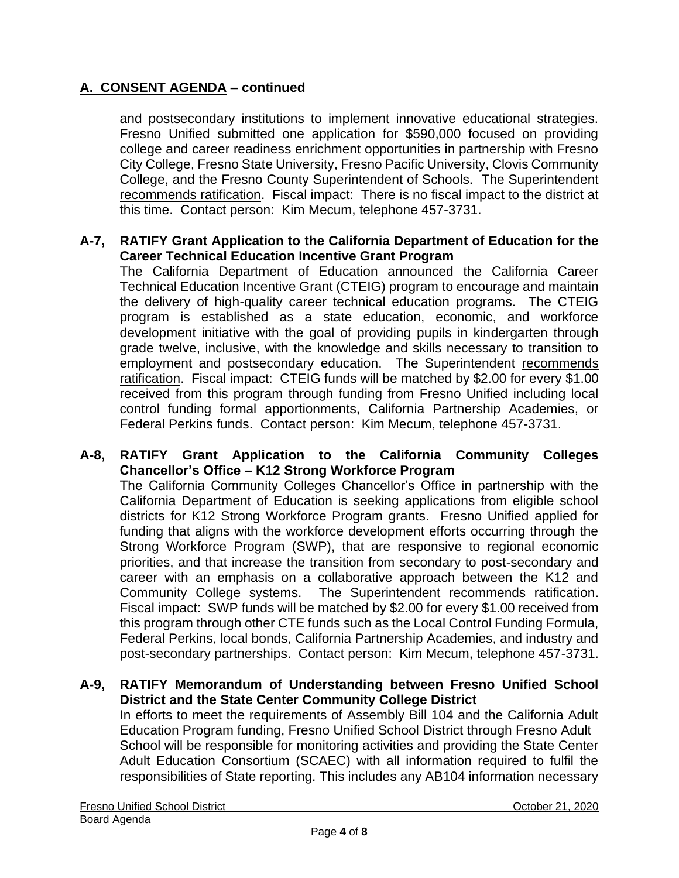and postsecondary institutions to implement innovative educational strategies. Fresno Unified submitted one application for \$590,000 focused on providing college and career readiness enrichment opportunities in partnership with Fresno City College, Fresno State University, Fresno Pacific University, Clovis Community College, and the Fresno County Superintendent of Schools. The Superintendent recommends ratification. Fiscal impact: There is no fiscal impact to the district at this time. Contact person: Kim Mecum, telephone 457-3731.

### **A-7, RATIFY Grant Application to the California Department of Education for the Career Technical Education Incentive Grant Program**

The California Department of Education announced the California Career Technical Education Incentive Grant (CTEIG) program to encourage and maintain the delivery of high-quality career technical education programs. The CTEIG program is established as a state education, economic, and workforce development initiative with the goal of providing pupils in kindergarten through grade twelve, inclusive, with the knowledge and skills necessary to transition to employment and postsecondary education. The Superintendent recommends ratification. Fiscal impact: CTEIG funds will be matched by \$2.00 for every \$1.00 received from this program through funding from Fresno Unified including local control funding formal apportionments, California Partnership Academies, or Federal Perkins funds. Contact person: Kim Mecum, telephone 457-3731.

#### **A-8, RATIFY Grant Application to the California Community Colleges Chancellor's Office – K12 Strong Workforce Program**

The California Community Colleges Chancellor's Office in partnership with the California Department of Education is seeking applications from eligible school districts for K12 Strong Workforce Program grants. Fresno Unified applied for funding that aligns with the workforce development efforts occurring through the Strong Workforce Program (SWP), that are responsive to regional economic priorities, and that increase the transition from secondary to post-secondary and career with an emphasis on a collaborative approach between the K12 and Community College systems. The Superintendent recommends ratification. Fiscal impact: SWP funds will be matched by \$2.00 for every \$1.00 received from this program through other CTE funds such as the Local Control Funding Formula, Federal Perkins, local bonds, California Partnership Academies, and industry and post-secondary partnerships. Contact person: Kim Mecum, telephone 457-3731.

#### **A-9, RATIFY Memorandum of Understanding between Fresno Unified School District and the State Center Community College District**

In efforts to meet the requirements of Assembly Bill 104 and the California Adult Education Program funding, Fresno Unified School District through Fresno Adult School will be responsible for monitoring activities and providing the State Center Adult Education Consortium (SCAEC) with all information required to fulfil the responsibilities of State reporting. This includes any AB104 information necessary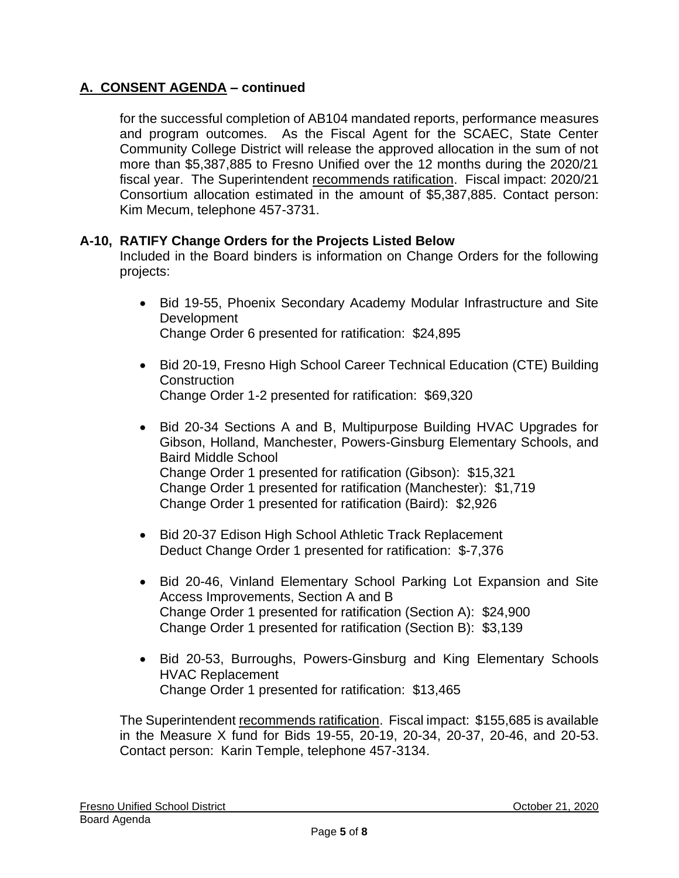for the successful completion of AB104 mandated reports, performance measures and program outcomes. As the Fiscal Agent for the SCAEC, State Center Community College District will release the approved allocation in the sum of not more than \$5,387,885 to Fresno Unified over the 12 months during the 2020/21 fiscal year. The Superintendent recommends ratification. Fiscal impact: 2020/21 Consortium allocation estimated in the amount of \$5,387,885. Contact person: Kim Mecum, telephone 457-3731.

## **A-10, RATIFY Change Orders for the Projects Listed Below**

Included in the Board binders is information on Change Orders for the following projects:

- Bid 19-55, Phoenix Secondary Academy Modular Infrastructure and Site Development Change Order 6 presented for ratification: \$24,895
- Bid 20-19, Fresno High School Career Technical Education (CTE) Building **Construction** Change Order 1-2 presented for ratification: \$69,320
- Bid 20-34 Sections A and B, Multipurpose Building HVAC Upgrades for Gibson, Holland, Manchester, Powers-Ginsburg Elementary Schools, and Baird Middle School Change Order 1 presented for ratification (Gibson): \$15,321 Change Order 1 presented for ratification (Manchester): \$1,719 Change Order 1 presented for ratification (Baird): \$2,926
- Bid 20-37 Edison High School Athletic Track Replacement Deduct Change Order 1 presented for ratification: \$-7,376
- Bid 20-46, Vinland Elementary School Parking Lot Expansion and Site Access Improvements, Section A and B Change Order 1 presented for ratification (Section A): \$24,900 Change Order 1 presented for ratification (Section B): \$3,139
- Bid 20-53, Burroughs, Powers-Ginsburg and King Elementary Schools HVAC Replacement Change Order 1 presented for ratification: \$13,465

The Superintendent recommends ratification. Fiscal impact: \$155,685 is available in the Measure X fund for Bids 19-55, 20-19, 20-34, 20-37, 20-46, and 20-53. Contact person: Karin Temple, telephone 457-3134.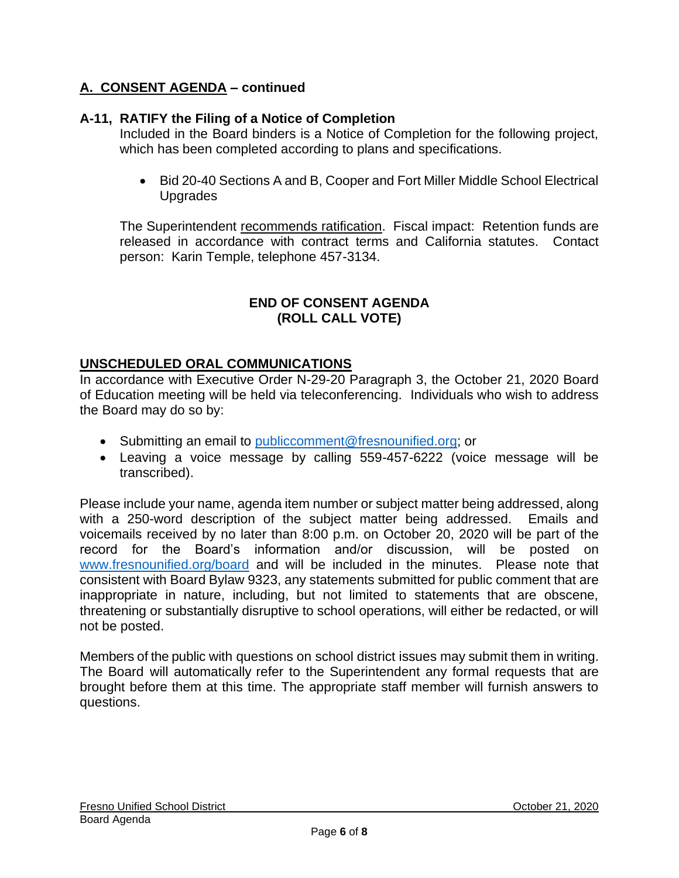# **A-11, RATIFY the Filing of a Notice of Completion**

Included in the Board binders is a Notice of Completion for the following project, which has been completed according to plans and specifications.

• Bid 20-40 Sections A and B, Cooper and Fort Miller Middle School Electrical Upgrades

The Superintendent recommends ratification. Fiscal impact: Retention funds are released in accordance with contract terms and California statutes. Contact person: Karin Temple, telephone 457-3134.

### **END OF CONSENT AGENDA (ROLL CALL VOTE)**

## **UNSCHEDULED ORAL COMMUNICATIONS**

In accordance with Executive Order N-29-20 Paragraph 3, the October 21, 2020 Board of Education meeting will be held via teleconferencing. Individuals who wish to address the Board may do so by:

- Submitting an email to [publiccomment@fresnounified.org;](mailto:publiccomment@fresnounified.org) or
- Leaving a voice message by calling 559-457-6222 (voice message will be transcribed).

Please include your name, agenda item number or subject matter being addressed, along with a 250-word description of the subject matter being addressed. Emails and voicemails received by no later than 8:00 p.m. on October 20, 2020 will be part of the record for the Board's information and/or discussion, will be posted on [www.fresnounified.org/board](http://www.fresnounified.org/board) and will be included in the minutes. Please note that consistent with Board Bylaw 9323, any statements submitted for public comment that are inappropriate in nature, including, but not limited to statements that are obscene, threatening or substantially disruptive to school operations, will either be redacted, or will not be posted.

Members of the public with questions on school district issues may submit them in writing. The Board will automatically refer to the Superintendent any formal requests that are brought before them at this time. The appropriate staff member will furnish answers to questions.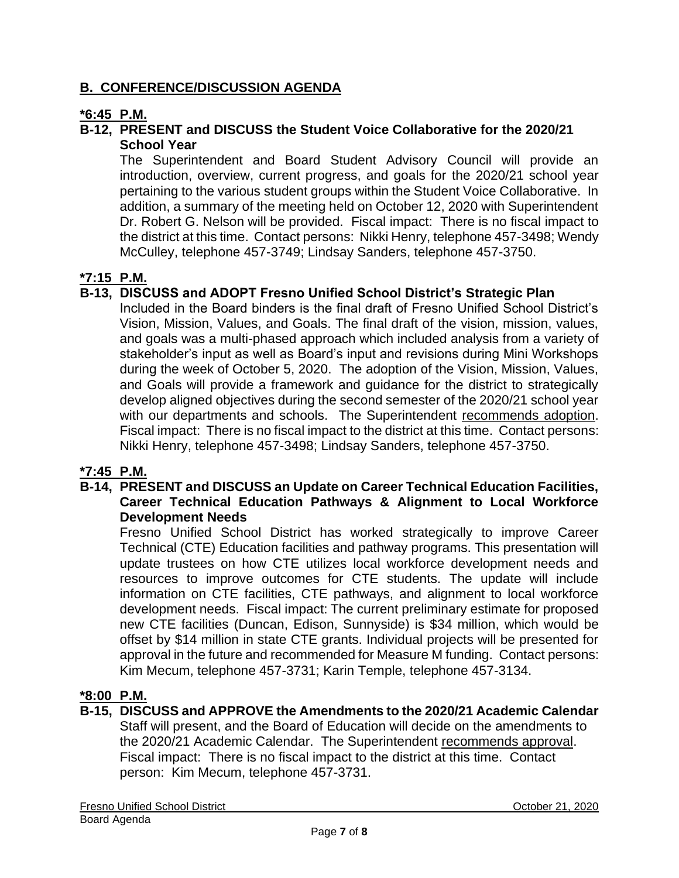# **B. CONFERENCE/DISCUSSION AGENDA**

# **\*6:45 P.M.**

# **B-12, PRESENT and DISCUSS the Student Voice Collaborative for the 2020/21 School Year**

The Superintendent and Board Student Advisory Council will provide an introduction, overview, current progress, and goals for the 2020/21 school year pertaining to the various student groups within the Student Voice Collaborative. In addition, a summary of the meeting held on October 12, 2020 with Superintendent Dr. Robert G. Nelson will be provided. Fiscal impact: There is no fiscal impact to the district at this time. Contact persons: Nikki Henry, telephone 457-3498; Wendy McCulley, telephone 457-3749; Lindsay Sanders, telephone 457-3750.

## **\*7:15 P.M.**

## **B-13, DISCUSS and ADOPT Fresno Unified School District's Strategic Plan**

Included in the Board binders is the final draft of Fresno Unified School District's Vision, Mission, Values, and Goals. The final draft of the vision, mission, values, and goals was a multi-phased approach which included analysis from a variety of stakeholder's input as well as Board's input and revisions during Mini Workshops during the week of October 5, 2020. The adoption of the Vision, Mission, Values, and Goals will provide a framework and guidance for the district to strategically develop aligned objectives during the second semester of the 2020/21 school year with our departments and schools. The Superintendent recommends adoption. Fiscal impact: There is no fiscal impact to the district at this time. Contact persons: Nikki Henry, telephone 457-3498; Lindsay Sanders, telephone 457-3750.

## **\*7:45 P.M.**

#### **B-14, PRESENT and DISCUSS an Update on Career Technical Education Facilities, Career Technical Education Pathways & Alignment to Local Workforce Development Needs**

Fresno Unified School District has worked strategically to improve Career Technical (CTE) Education facilities and pathway programs. This presentation will update trustees on how CTE utilizes local workforce development needs and resources to improve outcomes for CTE students. The update will include information on CTE facilities, CTE pathways, and alignment to local workforce development needs. Fiscal impact: The current preliminary estimate for proposed new CTE facilities (Duncan, Edison, Sunnyside) is \$34 million, which would be offset by \$14 million in state CTE grants. Individual projects will be presented for approval in the future and recommended for Measure M funding. Contact persons: Kim Mecum, telephone 457-3731; Karin Temple, telephone 457-3134.

## **\*8:00 P.M.**

#### **B-15, DISCUSS and APPROVE the Amendments to the 2020/21 Academic Calendar**  Staff will present, and the Board of Education will decide on the amendments to the 2020/21 Academic Calendar. The Superintendent recommends approval. Fiscal impact: There is no fiscal impact to the district at this time. Contact person: Kim Mecum, telephone 457-3731.